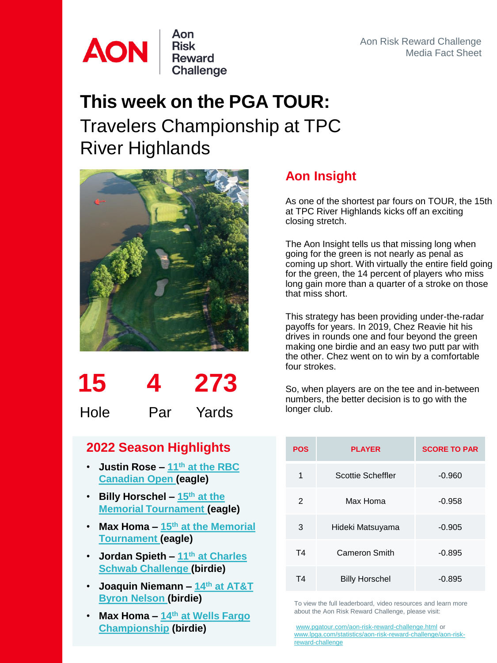

Risk<br>Reward Challenge

#### Aon Risk Reward Challenge Media Fact Sheet

# **This week on the PGA TOUR:** Travelers Championship at TPC River Highlands



**15 4 273**

Hole

Par Yards

## **2022 Season Highlights**

- **Justin Rose – 11th at the RBC [Canadian Open \(eagle\)](https://www.pgatour.com/video/2022/06/12/justin-rose-sinks-a-29-foot-eagle-on-no--11-in-round-4-at-rbc-ca.html)**
- **Billy Horschel – 15th at the [Memorial Tournament \(eag](https://www.pgatour.com/video/2022/06/05/billy-horschel-sinks-a-52-foot-eagle-on-no--15-in-round-4-at-the.html)le)**
- **Max Homa – 15th at the Memorial [Tournament \(eagle\)](https://www.pgatour.com/video/2022/06/04/max-homa-makes-eagle-on-no--15-in-round-3-at-the-memorial.html)**
- **Jordan Spieth – 11th at Charles [Schwab Challenge \(birdie\)](https://www.pgatour.com/video/2022/05/29/jordan-spieth-makes-birdie-on-no--11-in-round-4-at-charles-schwa.html)**
- **Joaquin Niemann – 14th at AT&T [Byron Nelson \(birdie\)](https://www.pgatour.com/video/2022/05/13/joaquin-niemann-makes-birdie-on-no--14-in-round-2-at-at-t-byron-.html)**
- **Max Homa – 14th at Wells Fargo [Championship](https://www.pgatour.com/video/2022/05/07/max-homa-makes-birdie-on-no--14-in-round-3-at-wells-fargo.html) (birdie)**

## **Aon Insight**

As one of the shortest par fours on TOUR, the 15th at TPC River Highlands kicks off an exciting closing stretch.

The Aon Insight tells us that missing long when going for the green is not nearly as penal as coming up short. With virtually the entire field going for the green, the 14 percent of players who miss long gain more than a quarter of a stroke on those that miss short.

This strategy has been providing under-the-radar payoffs for years. In 2019, Chez Reavie hit his drives in rounds one and four beyond the green making one birdie and an easy two putt par with the other. Chez went on to win by a comfortable four strokes.

So, when players are on the tee and in-between numbers, the better decision is to go with the longer club.

| POS            | <b>PLAYER</b>         | <b>SCORE TO PAR</b> |
|----------------|-----------------------|---------------------|
| 1              | Scottie Scheffler     | $-0.960$            |
| 2              | Max Homa              | $-0.958$            |
| 3              | Hideki Matsuyama      | $-0.905$            |
| T <sub>4</sub> | <b>Cameron Smith</b>  | $-0.895$            |
| T <sub>4</sub> | <b>Billy Horschel</b> | -0.895              |

To view the full leaderboard, video resources and learn more about the Aon Risk Reward Challenge, please visit:

[www.pgatour.com/aon-risk-reward-challenge.html](http://www.pgatour.com/aon-risk-reward-challenge.html) or [www.lpga.com/statistics/aon-risk-reward-challenge/aon-risk](http://www.lpga.com/statistics/aon-risk-reward-challenge/aon-risk-reward-challenge)reward-challenge